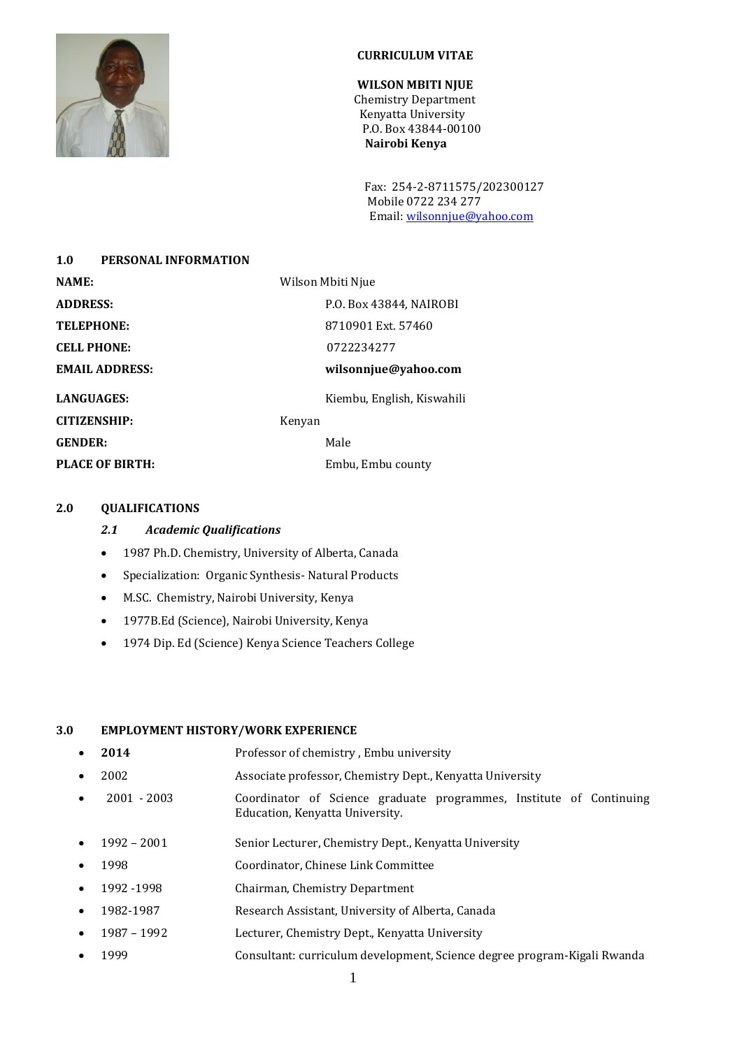

### **CURRICULUM VITAE**

**WILSON MBITI NJUE** Chemistry Department Kenyatta University P.O. Box 43844-00100  **Nairobi Kenya**

 Fax: 254-2-8711575/202300127 Mobile 0722 234 277 Email[: wilsonnjue@yahoo.com](mailto:wilsonnjue@yahoo.com)

| PERSONAL INFORMATION<br>1.0 |                            |
|-----------------------------|----------------------------|
| <b>NAME:</b>                | Wilson Mbiti Njue          |
| <b>ADDRESS:</b>             | P.O. Box 43844, NAIROBI    |
| <b>TELEPHONE:</b>           | 8710901 Ext. 57460         |
| <b>CELL PHONE:</b>          | 0722234277                 |
| <b>EMAIL ADDRESS:</b>       | wilsonnjue@yahoo.com       |
| <b>LANGUAGES:</b>           | Kiembu, English, Kiswahili |
| <b>CITIZENSHIP:</b>         | Kenyan                     |
| <b>GENDER:</b>              | Male                       |
| PLACE OF BIRTH:             | Embu, Embu county          |
|                             |                            |

#### **2.0 QUALIFICATIONS**

### *2.1 Academic Qualifications*

- 1987 Ph.D. Chemistry, University of Alberta, Canada
- Specialization: Organic Synthesis- Natural Products
- M.SC. Chemistry, Nairobi University, Kenya
- 1977B.Ed (Science), Nairobi University, Kenya
- 1974 Dip. Ed (Science) Kenya Science Teachers College

#### **3.0 EMPLOYMENT HISTORY/WORK EXPERIENCE**

- **2014** Professor of chemistry , Embu university
- 2002 Associate professor, Chemistry Dept., Kenyatta University
- 2001 2003 Coordinator of Science graduate programmes, Institute of Continuing Education, Kenyatta University.
- 1992 2001 Senior Lecturer, Chemistry Dept., Kenyatta University
- 1998 Coordinator, Chinese Link Committee
- 1992 -1998 Chairman, Chemistry Department
- 1982-1987 Research Assistant, University of Alberta, Canada
- 1987 1992 Lecturer, Chemistry Dept., Kenyatta University
- 1999 Consultant: curriculum development, Science degree program-Kigali Rwanda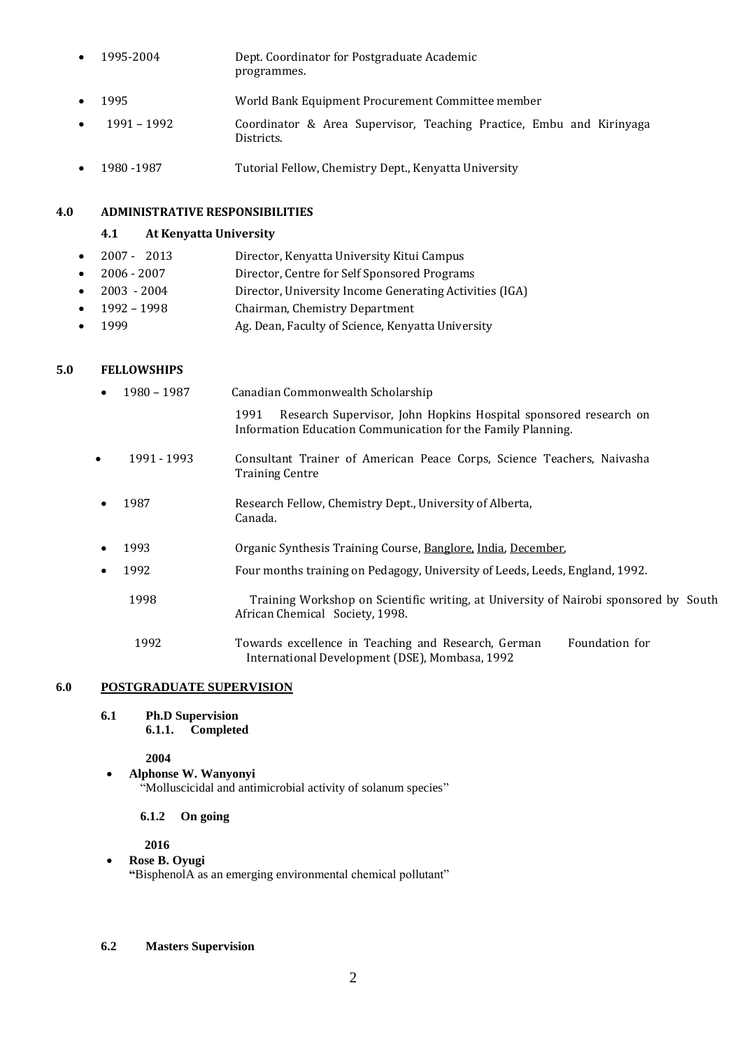- 1995-2004 Dept. Coordinator for Postgraduate Academic programmes.
- 1995 World Bank Equipment Procurement Committee member
- 1991 1992 Coordinator & Area Supervisor, Teaching Practice, Embu and Kirinyaga Districts.
- 1980 -1987 Tutorial Fellow, Chemistry Dept., Kenyatta University

### **4.0 ADMINISTRATIVE RESPONSIBILITIES**

### **4.1 At Kenyatta University**

- 2007 2013 Director, Kenyatta University Kitui Campus
- 2006 2007 Director, Centre for Self Sponsored Programs
- 2003 2004 Director, University Income Generating Activities (IGA)
- 1992 1998 Chairman, Chemistry Department
- 1999 Ag. Dean, Faculty of Science, Kenyatta University

### **5.0 FELLOWSHIPS**

|           | 1980 - 1987 | Canadian Commonwealth Scholarship                                                                                                        |
|-----------|-------------|------------------------------------------------------------------------------------------------------------------------------------------|
|           |             | Research Supervisor, John Hopkins Hospital sponsored research on<br>1991<br>Information Education Communication for the Family Planning. |
| $\bullet$ | 1991 - 1993 | Consultant Trainer of American Peace Corps, Science Teachers, Naivasha<br><b>Training Centre</b>                                         |
|           | 1987        | Research Fellow, Chemistry Dept., University of Alberta,<br>Canada.                                                                      |
|           | 1993        | Organic Synthesis Training Course, Banglore, India, December,                                                                            |
|           | 1992        | Four months training on Pedagogy, University of Leeds, Leeds, England, 1992.                                                             |
|           | 1998        | Training Workshop on Scientific writing, at University of Nairobi sponsored by South<br>African Chemical Society, 1998.                  |
|           | 1992        | Towards excellence in Teaching and Research, German<br>Foundation for<br>International Development (DSE), Mombasa, 1992                  |

### **6.0 POSTGRADUATE SUPERVISION**

**6.1 Ph.D Supervision 6.1.1. Completed**

**2004**

 **Alphonse W. Wanyonyi**  "Molluscicidal and antimicrobial activity of solanum species"

### **6.1.2 On going**

 **2016**

**Rose B. Oyugi**

**"**BisphenolA as an emerging environmental chemical pollutant"

**6.2 Masters Supervision**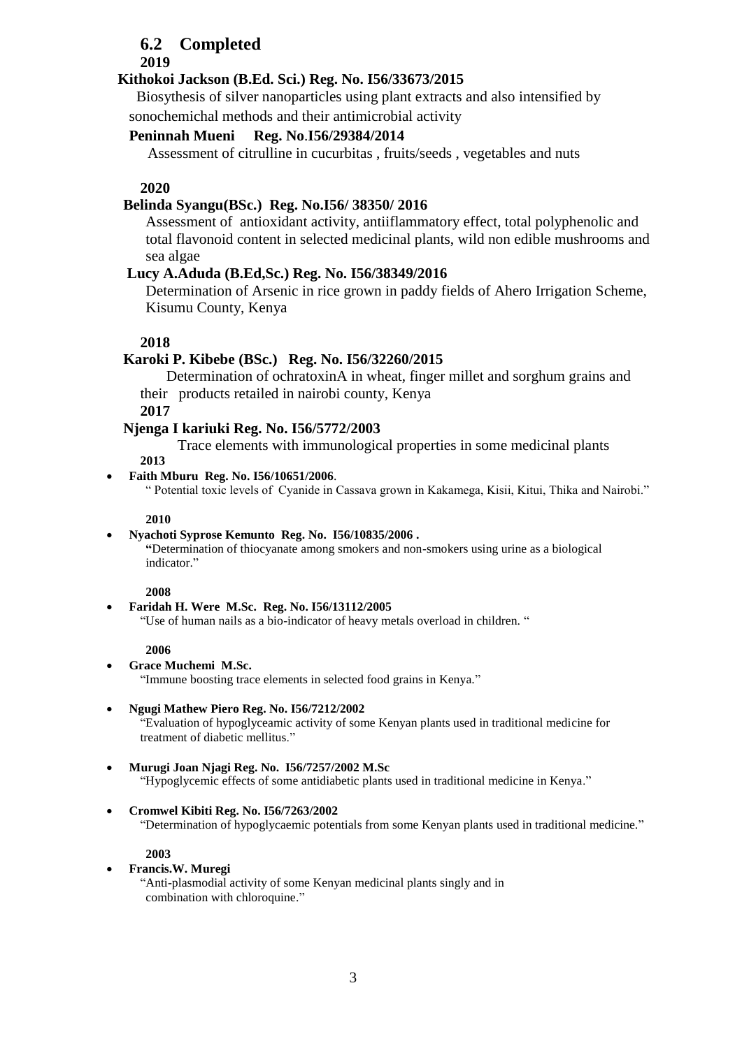## **6.2 Completed**

### **2019**

### **Kithokoi Jackson (B.Ed. Sci.) Reg. No. I56/33673/2015**

 Biosythesis of silver nanoparticles using plant extracts and also intensified by sonochemichal methods and their antimicrobial activity

### **Peninnah Mueni Reg. No**.**I56/29384/2014**

Assessment of citrulline in cucurbitas , fruits/seeds , vegetables and nuts

### **2020**

### **Belinda Syangu(BSc.) Reg. No.I56/ 38350/ 2016**

Assessment of antioxidant activity, antiiflammatory effect, total polyphenolic and total flavonoid content in selected medicinal plants, wild non edible mushrooms and sea algae

### **Lucy A.Aduda (B.Ed,Sc.) Reg. No. I56/38349/2016**

Determination of Arsenic in rice grown in paddy fields of Ahero Irrigation Scheme, Kisumu County, Kenya

### **2018**

### **Karoki P. Kibebe (BSc.) Reg. No. I56/32260/2015**

 Determination of ochratoxinA in wheat, finger millet and sorghum grains and their products retailed in nairobi county, Kenya

**2017**

### **Njenga I kariuki Reg. No. I56/5772/2003**

Trace elements with immunological properties in some medicinal plants

**2013**

#### **Faith Mburu Reg. No. I56/10651/2006**.

" Potential toxic levels of Cyanide in Cassava grown in Kakamega, Kisii, Kitui, Thika and Nairobi."

#### **2010**

#### **Nyachoti Syprose Kemunto Reg. No. I56/10835/2006 .**

**"**Determination of thiocyanate among smokers and non-smokers using urine as a biological indicator."

#### **2008**

**Faridah H. Were M.Sc. Reg. No. I56/13112/2005**

"Use of human nails as a bio-indicator of heavy metals overload in children. "

#### **2006**

 **Grace Muchemi M.Sc.** "Immune boosting trace elements in selected food grains in Kenya."

#### **Ngugi Mathew Piero Reg. No. I56/7212/2002**

"Evaluation of hypoglyceamic activity of some Kenyan plants used in traditional medicine for treatment of diabetic mellitus."

#### **Murugi Joan Njagi Reg. No. I56/7257/2002 M.Sc**

"Hypoglycemic effects of some antidiabetic plants used in traditional medicine in Kenya."

#### **Cromwel Kibiti Reg. No. I56/7263/2002**

"Determination of hypoglycaemic potentials from some Kenyan plants used in traditional medicine."

### **2003**

#### **Francis.W. Muregi**

"Anti-plasmodial activity of some Kenyan medicinal plants singly and in combination with chloroquine."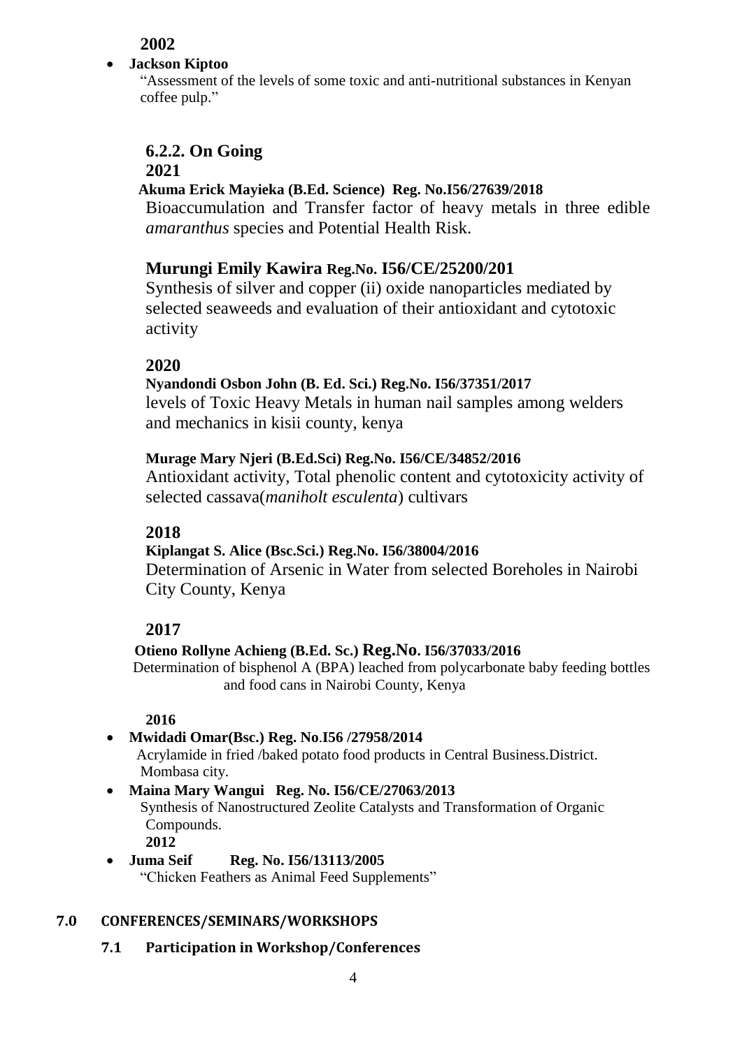**2002**

## **Jackson Kiptoo**

"Assessment of the levels of some toxic and anti-nutritional substances in Kenyan coffee pulp."

# **6.2.2. On Going**

## **2021**

## **Akuma Erick Mayieka (B.Ed. Science) Reg. No.I56/27639/2018**

Bioaccumulation and Transfer factor of heavy metals in three edible *amaranthus* species and Potential Health Risk.

## **Murungi Emily Kawira Reg.No. I56/CE/25200/201**

Synthesis of silver and copper (ii) oxide nanoparticles mediated by selected seaweeds and evaluation of their antioxidant and cytotoxic activity

## **2020**

## **Nyandondi Osbon John (B. Ed. Sci.) Reg.No. I56/37351/2017**

levels of Toxic Heavy Metals in human nail samples among welders and mechanics in kisii county, kenya

## **Murage Mary Njeri (B.Ed.Sci) Reg.No. I56/CE/34852/2016**

Antioxidant activity, Total phenolic content and cytotoxicity activity of selected cassava(*maniholt esculenta*) cultivars

## **2018**

## **Kiplangat S. Alice (Bsc.Sci.) Reg.No. I56/38004/2016**

Determination of Arsenic in Water from selected Boreholes in Nairobi City County, Kenya

## **2017**

## **Otieno Rollyne Achieng (B.Ed. Sc.) Reg.No. I56/37033/2016**

Determination of bisphenol A (BPA) leached from polycarbonate baby feeding bottles and food cans in Nairobi County, Kenya

## **2016**

 **Mwidadi Omar(Bsc.) Reg. No**.**I56 /27958/2014** Acrylamide in fried /baked potato food products in Central Business.District. Mombasa city. **Maina Mary Wangui Reg. No. I56/CE/27063/2013**

Synthesis of Nanostructured Zeolite Catalysts and Transformation of Organic Compounds.

**2012**

## **Juma Seif Reg. No. I56/13113/2005**

"Chicken Feathers as Animal Feed Supplements"

## **7.0 CONFERENCES/SEMINARS/WORKSHOPS**

**7.1 Participation in Workshop/Conferences**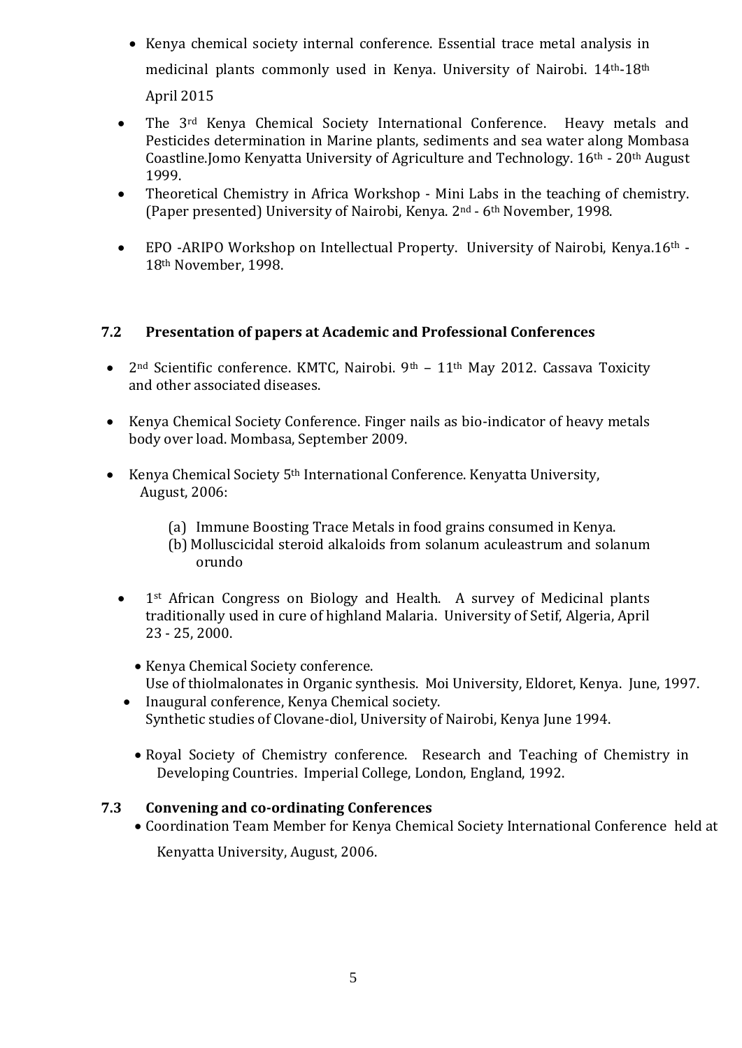- Kenya chemical society internal conference. Essential trace metal analysis in medicinal plants commonly used in Kenya. University of Nairobi. 14th-18th April 2015
- The 3<sup>rd</sup> Kenya Chemical Society International Conference. Heavy metals and Pesticides determination in Marine plants, sediments and sea water along Mombasa Coastline.Jomo Kenyatta University of Agriculture and Technology. 16th - 20th August 1999.
- Theoretical Chemistry in Africa Workshop Mini Labs in the teaching of chemistry. (Paper presented) University of Nairobi, Kenya. 2nd - 6th November, 1998.
- EPO -ARIPO Workshop on Intellectual Property. University of Nairobi, Kenya.16th 18th November, 1998.

## **7.2 Presentation of papers at Academic and Professional Conferences**

- $2<sup>nd</sup>$  Scientific conference. KMTC, Nairobi.  $9<sup>th</sup> 11<sup>th</sup>$  May 2012. Cassava Toxicity and other associated diseases.
- Kenya Chemical Society Conference. Finger nails as bio-indicator of heavy metals body over load. Mombasa, September 2009.
- Kenya Chemical Society 5<sup>th</sup> International Conference. Kenyatta University, August, 2006:
	- (a) Immune Boosting Trace Metals in food grains consumed in Kenya.
	- (b) Molluscicidal steroid alkaloids from solanum aculeastrum and solanum orundo
	- 1<sup>st</sup> African Congress on Biology and Health. A survey of Medicinal plants traditionally used in cure of highland Malaria. University of Setif, Algeria, April 23 - 25, 2000.
		- Kenya Chemical Society conference. Use of thiolmalonates in Organic synthesis. Moi University, Eldoret, Kenya. June, 1997.
	- Inaugural conference, Kenya Chemical society. Synthetic studies of Clovane-diol, University of Nairobi, Kenya June 1994.
		- Royal Society of Chemistry conference. Research and Teaching of Chemistry in Developing Countries. Imperial College, London, England, 1992.

### **7.3 Convening and co-ordinating Conferences**

Coordination Team Member for Kenya Chemical Society International Conference held at

Kenyatta University, August, 2006.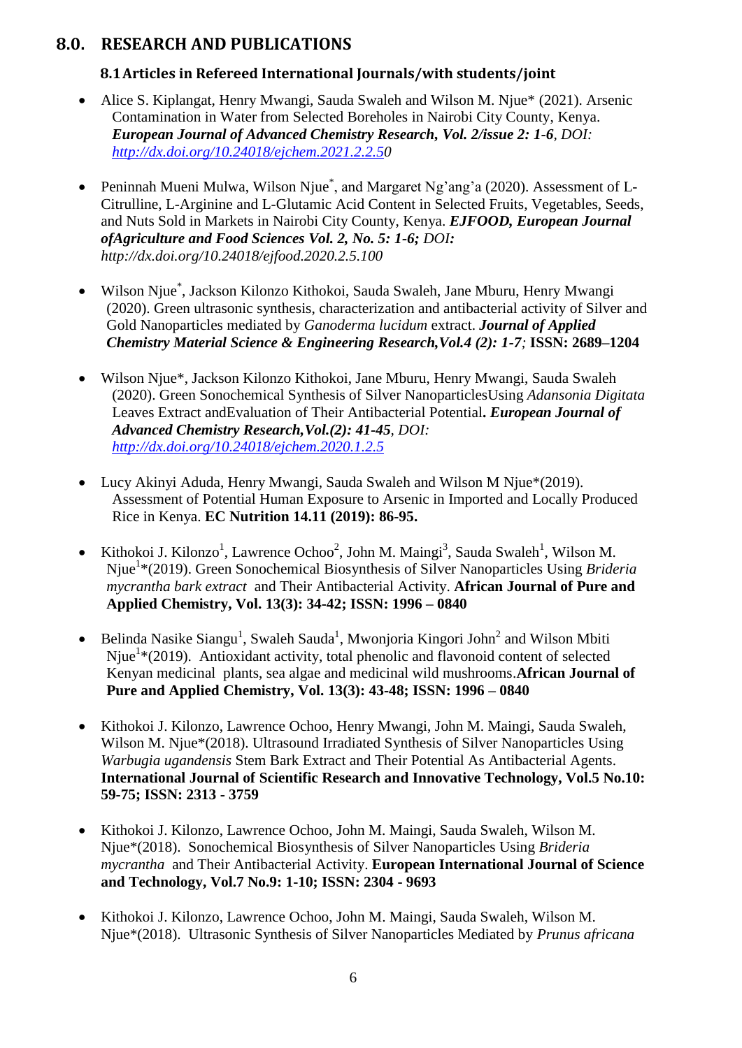## **8.0. RESEARCH AND PUBLICATIONS**

## **8.1Articles in Refereed International Journals/with students/joint**

- Alice S. Kiplangat, Henry Mwangi, Sauda Swaleh and Wilson M. Njue\* (2021). Arsenic Contamination in Water from Selected Boreholes in Nairobi City County, Kenya. *European Journal of Advanced Chemistry Research, Vol. 2/issue 2: 1-6, DOI: [http://dx.doi.org/10.24018/ejchem.2021.2.2.50](http://dx.doi.org/10.24018/ejchem.2021.2.2.5)*
- Peninnah Mueni Mulwa, Wilson Njue<sup>\*</sup>, and Margaret Ng'ang'a (2020). Assessment of L-Citrulline, L-Arginine and L-Glutamic Acid Content in Selected Fruits, Vegetables, Seeds, and Nuts Sold in Markets in Nairobi City County, Kenya. *EJFOOD, European Journal ofAgriculture and Food Sciences Vol. 2, No. 5: 1-6; DOI: http://dx.doi.org/10.24018/ejfood.2020.2.5.100*
- Wilson Njue\* , Jackson Kilonzo Kithokoi, Sauda Swaleh, Jane Mburu, Henry Mwangi (2020). Green ultrasonic synthesis, characterization and antibacterial activity of Silver and Gold Nanoparticles mediated by *Ganoderma lucidum* extract. *Journal of Applied Chemistry Material Science & Engineering Research,Vol.4 (2): 1-7;* **ISSN: 2689–1204**
- Wilson Njue\*, Jackson Kilonzo Kithokoi, Jane Mburu, Henry Mwangi, Sauda Swaleh (2020). Green Sonochemical Synthesis of Silver NanoparticlesUsing *Adansonia Digitata*  Leaves Extract andEvaluation of Their Antibacterial Potential**.** *European Journal of Advanced Chemistry Research,Vol.(2): 41-45, DOI: <http://dx.doi.org/10.24018/ejchem.2020.1.2.5>*
- Lucy Akinyi Aduda, Henry Mwangi, Sauda Swaleh and Wilson M Njue\*(2019). Assessment of Potential Human Exposure to Arsenic in Imported and Locally Produced Rice in Kenya. **EC Nutrition 14.11 (2019): 86-95.**
- Kithokoi J. Kilonzo<sup>1</sup>, Lawrence Ochoo<sup>2</sup>, John M. Maingi<sup>3</sup>, Sauda Swaleh<sup>1</sup>, Wilson M. Njue<sup>1</sup>\*(2019). Green Sonochemical Biosynthesis of Silver Nanoparticles Using *Brideria mycrantha bark extract* and Their Antibacterial Activity. **African Journal of Pure and Applied Chemistry, Vol. 13(3): 34-42; ISSN: 1996 – 0840**
- Belinda Nasike Siangu<sup>1</sup>, Swaleh Sauda<sup>1</sup>, Mwonjoria Kingori John<sup>2</sup> and Wilson Mbiti Njue<sup>1</sup>\*(2019). Antioxidant activity, total phenolic and flavonoid content of selected Kenyan medicinal plants, sea algae and medicinal wild mushrooms.**African Journal of Pure and Applied Chemistry, Vol. 13(3): 43-48; ISSN: 1996 – 0840**
- Kithokoi J. Kilonzo, Lawrence Ochoo, Henry Mwangi, John M. Maingi, Sauda Swaleh, Wilson M. Njue\*(2018). Ultrasound Irradiated Synthesis of Silver Nanoparticles Using *Warbugia ugandensis* Stem Bark Extract and Their Potential As Antibacterial Agents. **International Journal of Scientific Research and Innovative Technology, Vol.5 No.10: 59-75; ISSN: 2313 - 3759**
- Kithokoi J. Kilonzo, Lawrence Ochoo, John M. Maingi, Sauda Swaleh, Wilson M. Njue\*(2018). Sonochemical Biosynthesis of Silver Nanoparticles Using *Brideria mycrantha* and Their Antibacterial Activity. **European International Journal of Science and Technology, Vol.7 No.9: 1-10; ISSN: 2304 - 9693**
- Kithokoi J. Kilonzo, Lawrence Ochoo, John M. Maingi, Sauda Swaleh, Wilson M. Njue\*(2018). Ultrasonic Synthesis of Silver Nanoparticles Mediated by *Prunus africana*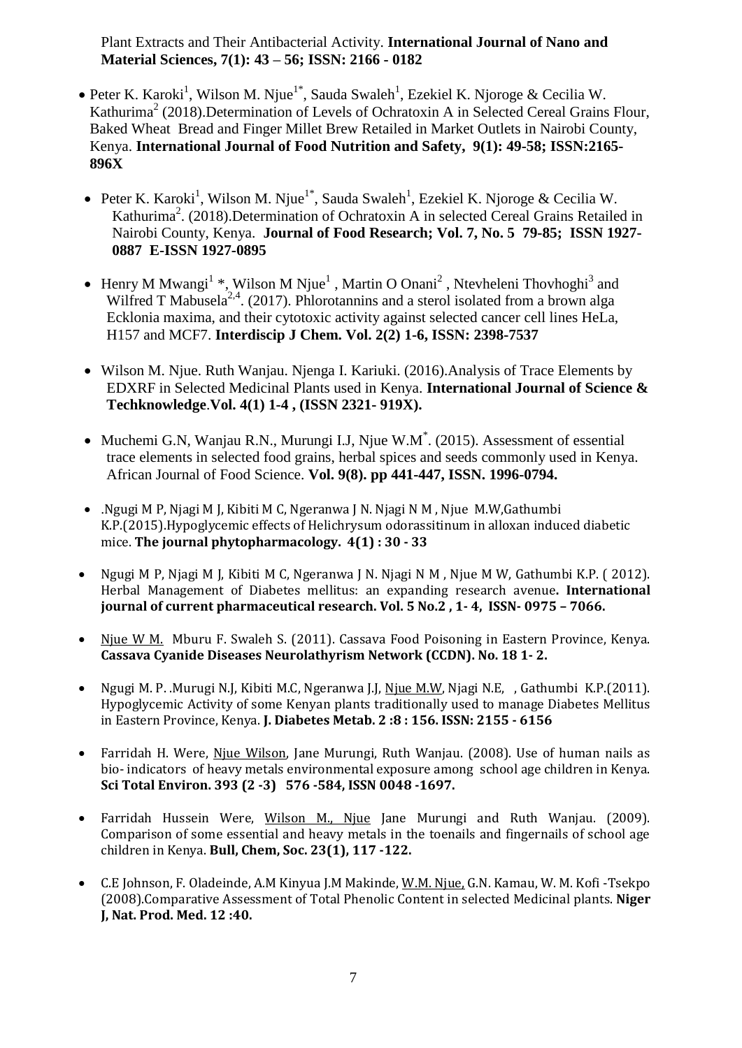Plant Extracts and Their Antibacterial Activity. **International Journal of Nano and Material Sciences, 7(1): 43 – 56; ISSN: 2166 - 0182**

- Peter K. Karoki<sup>1</sup>, Wilson M. Njue<sup>1\*</sup>, Sauda Swaleh<sup>1</sup>, Ezekiel K. Njoroge & Cecilia W. Kathurima<sup>2</sup> (2018).Determination of Levels of Ochratoxin A in Selected Cereal Grains Flour, Baked Wheat Bread and Finger Millet Brew Retailed in Market Outlets in Nairobi County, Kenya. **International Journal of Food Nutrition and Safety, 9(1): 49-58; ISSN:2165- 896X**
- Peter K. Karoki<sup>1</sup>, Wilson M. Njue<sup>1\*</sup>, Sauda Swaleh<sup>1</sup>, Ezekiel K. Njoroge & Cecilia W. Kathurima<sup>2</sup>. (2018).Determination of Ochratoxin A in selected Cereal Grains Retailed in Nairobi County, Kenya. **Journal of Food Research; Vol. 7, No. 5 79-85; ISSN 1927- 0887 E-ISSN 1927-0895**
- Henry M Mwangi<sup>1</sup> \*, Wilson M Njue<sup>1</sup>, Martin O Onani<sup>2</sup>, Ntevheleni Thovhoghi<sup>3</sup> and Wilfred T Mabusela<sup>2,4</sup>. (2017). Phlorotannins and a sterol isolated from a brown alga Ecklonia maxima, and their cytotoxic activity against selected cancer cell lines HeLa, H157 and MCF7. **Interdiscip J Chem. Vol. 2(2) 1-6, ISSN: 2398-7537**
- Wilson M. Njue. Ruth Wanjau. Njenga I. Kariuki. (2016). Analysis of Trace Elements by EDXRF in Selected Medicinal Plants used in Kenya. **International Journal of Science & Techknowledge**.**Vol. 4(1) 1-4 , (ISSN 2321- 919X).**
- Muchemi G.N, Wanjau R.N., Murungi I.J, Njue W.M<sup>\*</sup>. (2015). Assessment of essential trace elements in selected food grains, herbal spices and seeds commonly used in Kenya. African Journal of Food Science. **Vol. 9(8). pp 441-447, ISSN. 1996-0794.**
- .Ngugi M P, Njagi M J, Kibiti M C, Ngeranwa J N. Njagi N M , Njue M.W,Gathumbi K.P.(2015).Hypoglycemic effects of Helichrysum odorassitinum in alloxan induced diabetic mice. **The journal phytopharmacology. 4(1) : 30 - 33**
- Ngugi M P, Njagi M J, Kibiti M C, Ngeranwa J N. Njagi N M , Njue M W, Gathumbi K.P. ( 2012). Herbal Management of Diabetes mellitus: an expanding research avenue**. International journal of current pharmaceutical research. Vol. 5 No.2 , 1- 4, ISSN- 0975 – 7066.**
- Njue W M. Mburu F. Swaleh S. (2011). Cassava Food Poisoning in Eastern Province, Kenya. **Cassava Cyanide Diseases Neurolathyrism Network (CCDN). No. 18 1- 2.**
- Ngugi M. P. .Murugi N.J, Kibiti M.C, Ngeranwa J.J, Njue M.W, Njagi N.E, , Gathumbi K.P.(2011). Hypoglycemic Activity of some Kenyan plants traditionally used to manage Diabetes Mellitus in Eastern Province, Kenya. **J. Diabetes Metab. 2 :8 : 156. ISSN: 2155 - 6156**
- Farridah H. Were, Njue Wilson, Jane Murungi, Ruth Wanjau. (2008). Use of human nails as bio- indicators of heavy metals environmental exposure among school age children in Kenya. **Sci Total Environ. 393 (2 -3) 576 -584, ISSN 0048 -1697.**
- Farridah Hussein Were, Wilson M., Njue Jane Murungi and Ruth Wanjau. (2009). Comparison of some essential and heavy metals in the toenails and fingernails of school age children in Kenya. **Bull, Chem, Soc. 23(1), 117 -122.**
- C.E Johnson, F. Oladeinde, A.M Kinyua J.M Makinde, W.M. Njue, G.N. Kamau, W. M. Kofi -Tsekpo (2008).Comparative Assessment of Total Phenolic Content in selected Medicinal plants. **Niger J, Nat. Prod. Med. 12 :40.**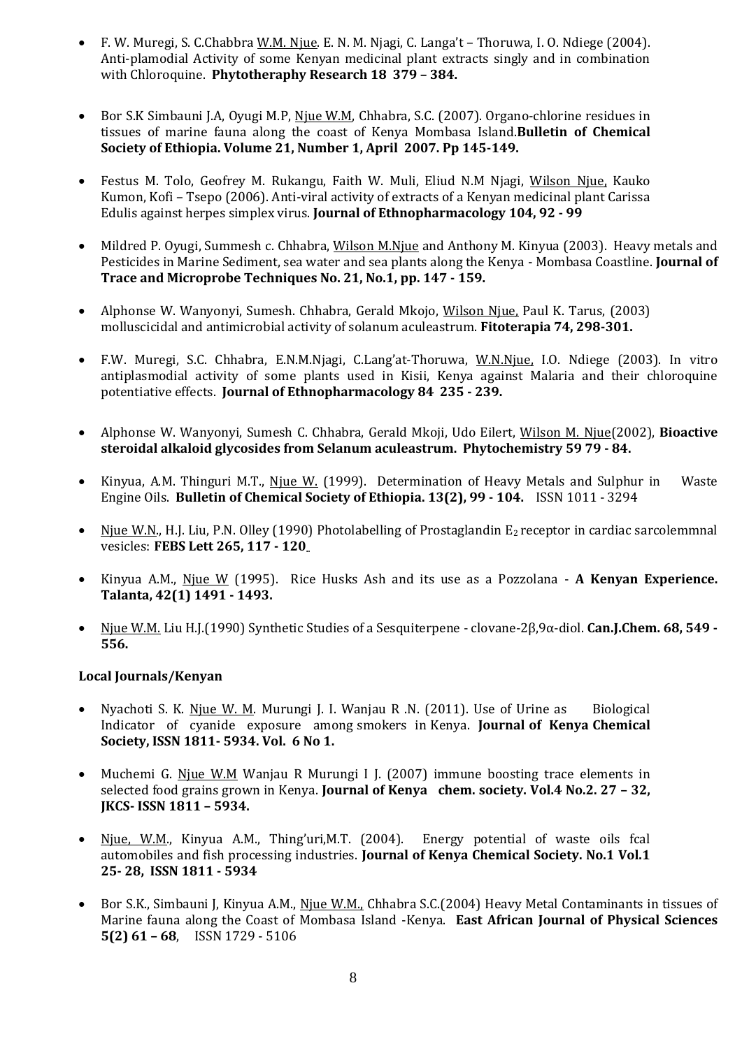- F. W. Muregi, S. C.Chabbra W.M. Njue. E. N. M. Njagi, C. Langa't Thoruwa, I. O. Ndiege (2004). Anti-plamodial Activity of some Kenyan medicinal plant extracts singly and in combination with Chloroquine. **Phytotheraphy Research 18 379 – 384.**
- Bor S.K Simbauni J.A, Oyugi M.P, Njue W.M, Chhabra, S.C. (2007). Organo-chlorine residues in tissues of marine fauna along the coast of Kenya Mombasa Island.**Bulletin of Chemical Society of Ethiopia. Volume 21, Number 1, April 2007. Pp 145-149.**
- Festus M. Tolo, Geofrey M. Rukangu, Faith W. Muli, Eliud N.M Njagi, Wilson Njue, Kauko Kumon, Kofi – Tsepo (2006). Anti-viral activity of extracts of a Kenyan medicinal plant Carissa Edulis against herpes simplex virus. **Journal of Ethnopharmacology 104, 92 - 99**
- Mildred P. Oyugi, Summesh c. Chhabra, Wilson M.Njue and Anthony M. Kinyua (2003). Heavy metals and Pesticides in Marine Sediment, sea water and sea plants along the Kenya - Mombasa Coastline. **Journal of Trace and Microprobe Techniques No. 21, No.1, pp. 147 - 159.**
- Alphonse W. Wanyonyi, Sumesh. Chhabra, Gerald Mkojo, Wilson Njue, Paul K. Tarus, (2003) molluscicidal and antimicrobial activity of solanum aculeastrum. **Fitoterapia 74, 298-301.**
- F.W. Muregi, S.C. Chhabra, E.N.M.Njagi, C.Lang'at-Thoruwa, W.N.Njue, I.O. Ndiege (2003). In vitro antiplasmodial activity of some plants used in Kisii, Kenya against Malaria and their chloroquine potentiative effects. **Journal of Ethnopharmacology 84 235 - 239.**
- Alphonse W. Wanyonyi, Sumesh C. Chhabra, Gerald Mkoji, Udo Eilert, Wilson M. Njue(2002), **Bioactive steroidal alkaloid glycosides from Selanum aculeastrum. Phytochemistry 59 79 - 84.**
- Kinyua, A.M. Thinguri M.T., Niue W. (1999). Determination of Heavy Metals and Sulphur in Waste Engine Oils. **Bulletin of Chemical Society of Ethiopia. 13(2), 99 - 104.** ISSN 1011 - 3294
- Njue W.N., H.J. Liu, P.N. Olley (1990) Photolabelling of Prostaglandin  $E_2$  receptor in cardiac sarcolemmnal vesicles: **FEBS Lett 265, 117 - 120..**
- Kinyua A.M., Njue W (1995). Rice Husks Ash and its use as a Pozzolana **A Kenyan Experience. Talanta, 42(1) 1491 - 1493.**
- Njue W.M. Liu H.J.(1990) Synthetic Studies of a Sesquiterpene clovane-2β,9α-diol. **Can.J.Chem. 68, 549 - 556.**

### **Local Journals/Kenyan**

- Nyachoti S. K. Niue W. M. Murungi J. I. Wanjau R .N. (2011). Use of Urine as Biological Indicator of cyanide exposure among smokers in Kenya. **Journal of Kenya Chemical Society, ISSN 1811- 5934. Vol. 6 No 1.**
- Muchemi G. Njue W.M Wanjau R Murungi I J. (2007) immune boosting trace elements in selected food grains grown in Kenya. **Journal of Kenya chem. society. Vol.4 No.2. 27 – 32, JKCS- ISSN 1811 – 5934.**
- Njue, W.M., Kinyua A.M., Thing'uri, M.T. (2004). Energy potential of waste oils fcal automobiles and fish processing industries. **Journal of Kenya Chemical Society. No.1 Vol.1 25- 28, ISSN 1811 - 5934**
- Bor S.K., Simbauni J, Kinyua A.M., Njue W.M., Chhabra S.C.(2004) Heavy Metal Contaminants in tissues of Marine fauna along the Coast of Mombasa Island -Kenya. **East African Journal of Physical Sciences 5(2) 61 – 68**, ISSN 1729 - 5106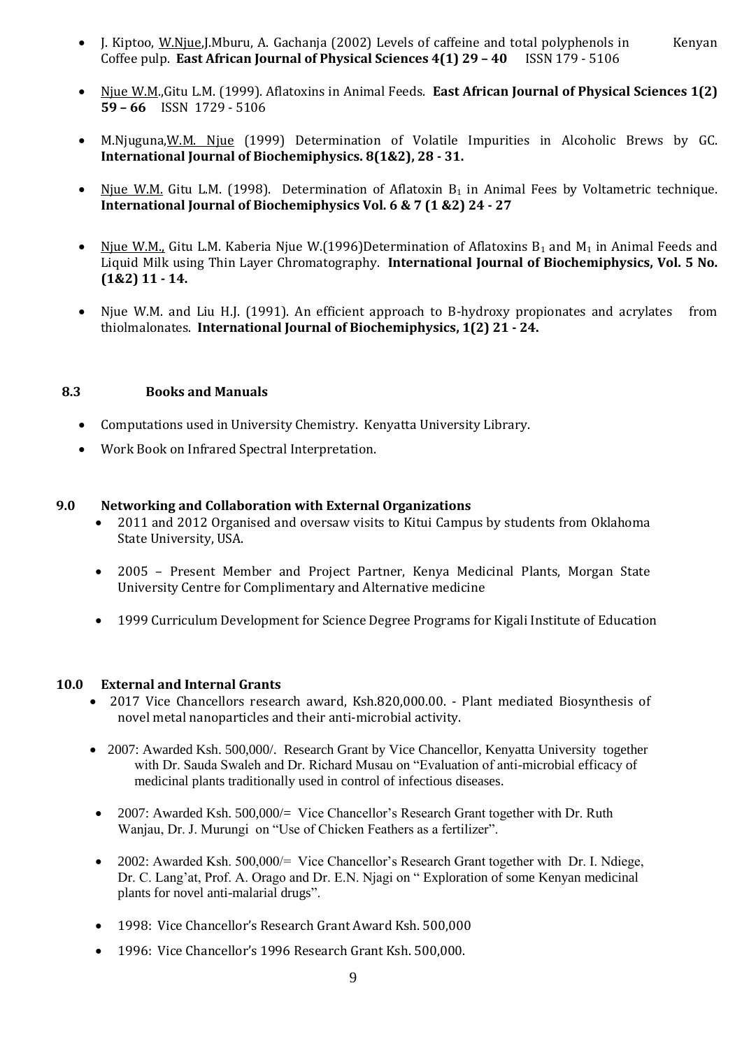- J. Kiptoo, W.Njue,J.Mburu, A. Gachanja (2002) Levels of caffeine and total polyphenols in Kenyan Coffee pulp. **East African Journal of Physical Sciences 4(1) 29 – 40** ISSN 179 - 5106
- Njue W.M.,Gitu L.M. (1999). Aflatoxins in Animal Feeds. **East African Journal of Physical Sciences 1(2) 59 – 66** ISSN 1729 - 5106
- M.Njuguna, W.M. Njue (1999) Determination of Volatile Impurities in Alcoholic Brews by GC. **International Journal of Biochemiphysics. 8(1&2), 28 - 31.**
- Njue W.M. Gitu L.M. (1998). Determination of Aflatoxin  $B_1$  in Animal Fees by Voltametric technique. **International Journal of Biochemiphysics Vol. 6 & 7 (1 &2) 24 - 27**
- Njue W.M., Gitu L.M. Kaberia Njue W.(1996)Determination of Aflatoxins  $B_1$  and  $M_1$  in Animal Feeds and Liquid Milk using Thin Layer Chromatography. **International Journal of Biochemiphysics, Vol. 5 No. (1&2) 11 - 14.**
- Njue W.M. and Liu H.J. (1991). An efficient approach to B-hydroxy propionates and acrylates from thiolmalonates. **International Journal of Biochemiphysics, 1(2) 21 - 24.**

### **8.3 Books and Manuals**

- Computations used in University Chemistry. Kenyatta University Library.
- Work Book on Infrared Spectral Interpretation.

### **9.0 Networking and Collaboration with External Organizations**

- 2011 and 2012 Organised and oversaw visits to Kitui Campus by students from Oklahoma State University, USA.
- 2005 Present Member and Project Partner, Kenya Medicinal Plants, Morgan State University Centre for Complimentary and Alternative medicine
- 1999 Curriculum Development for Science Degree Programs for Kigali Institute of Education

### **10.0 External and Internal Grants**

- 2017 Vice Chancellors research award, Ksh.820,000.00. Plant mediated Biosynthesis of novel metal nanoparticles and their anti-microbial activity.
- 2007: Awarded Ksh. 500,000/. Research Grant by Vice Chancellor, Kenyatta University together with Dr. Sauda Swaleh and Dr. Richard Musau on "Evaluation of anti-microbial efficacy of medicinal plants traditionally used in control of infectious diseases.
- 2007: Awarded Ksh. 500,000/= Vice Chancellor's Research Grant together with Dr. Ruth Wanjau, Dr. J. Murungi on "Use of Chicken Feathers as a fertilizer".
- 2002: Awarded Ksh. 500,000/= Vice Chancellor's Research Grant together with Dr. I. Ndiege, Dr. C. Lang'at, Prof. A. Orago and Dr. E.N. Njagi on " Exploration of some Kenyan medicinal plants for novel anti-malarial drugs".
- 1998: Vice Chancellor's Research Grant Award Ksh. 500,000
- 1996: Vice Chancellor's 1996 Research Grant Ksh. 500,000.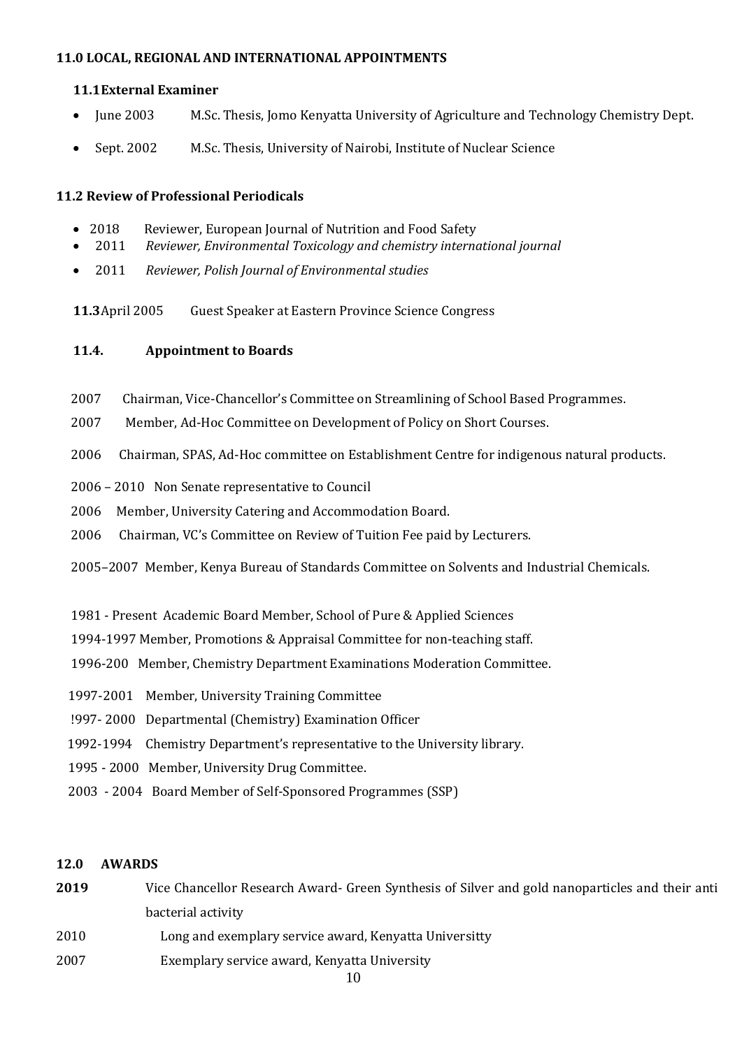### **11.0 LOCAL, REGIONAL AND INTERNATIONAL APPOINTMENTS**

### **11.1External Examiner**

- June 2003 M.Sc. Thesis, Jomo Kenyatta University of Agriculture and Technology Chemistry Dept.
- Sept. 2002 M.Sc. Thesis, University of Nairobi, Institute of Nuclear Science

### **11.2 Review of Professional Periodicals**

- 2018 Reviewer, European Journal of Nutrition and Food Safety
- 2011 *Reviewer, Environmental Toxicology and chemistry international journal*
- 2011 *Reviewer, Polish Journal of Environmental studies*

**11.3**April 2005 Guest Speaker at Eastern Province Science Congress

### **11.4. Appointment to Boards**

- 2007 Chairman, Vice-Chancellor's Committee on Streamlining of School Based Programmes.
- 2007 Member, Ad-Hoc Committee on Development of Policy on Short Courses.
- 2006 Chairman, SPAS, Ad-Hoc committee on Establishment Centre for indigenous natural products.
- 2006 2010 Non Senate representative to Council
- 2006 Member, University Catering and Accommodation Board.
- 2006 Chairman, VC's Committee on Review of Tuition Fee paid by Lecturers.

2005–2007 Member, Kenya Bureau of Standards Committee on Solvents and Industrial Chemicals.

- 1981 Present Academic Board Member, School of Pure & Applied Sciences
- 1994-1997 Member, Promotions & Appraisal Committee for non-teaching staff.
- 1996-200 Member, Chemistry Department Examinations Moderation Committee.
- 1997-2001 Member, University Training Committee
- !997- 2000 Departmental (Chemistry) Examination Officer
- 1992-1994 Chemistry Department's representative to the University library.
- 1995 2000 Member, University Drug Committee.
- 2003 2004 Board Member of Self-Sponsored Programmes (SSP)

### **12.0 AWARDS**

Vice Chancellor Research Award- Green Synthesis of Silver and gold nanoparticles and their anti bacterial activity Long and exemplary service award, Kenyatta Universitty Exemplary service award, Kenyatta University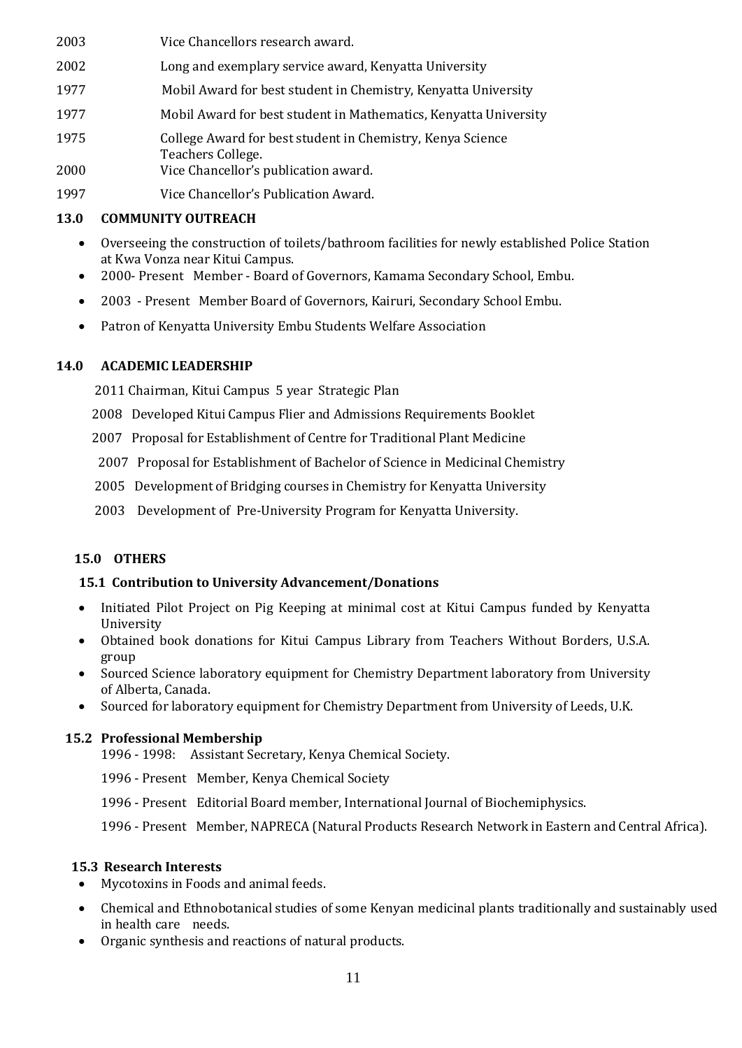- 2003 Vice Chancellors research award. 2002 Long and exemplary service award, Kenyatta University 1977 Mobil Award for best student in Chemistry, Kenyatta University 1977 Mobil Award for best student in Mathematics, Kenyatta University
- 1975 College Award for best student in Chemistry, Kenya Science Teachers College.
- 2000 Vice Chancellor's publication award.
- 1997 Vice Chancellor's Publication Award.

### **13.0 COMMUNITY OUTREACH**

- Overseeing the construction of toilets/bathroom facilities for newly established Police Station at Kwa Vonza near Kitui Campus.
- 2000- Present Member Board of Governors, Kamama Secondary School, Embu.
- 2003 Present Member Board of Governors, Kairuri, Secondary School Embu.
- Patron of Kenyatta University Embu Students Welfare Association

### **14.0 ACADEMIC LEADERSHIP**

2011 Chairman, Kitui Campus 5 year Strategic Plan

- 2008 Developed Kitui Campus Flier and Admissions Requirements Booklet
- 2007 Proposal for Establishment of Centre for Traditional Plant Medicine
- 2007 Proposal for Establishment of Bachelor of Science in Medicinal Chemistry
- 2005 Development of Bridging courses in Chemistry for Kenyatta University
- 2003 Development of Pre-University Program for Kenyatta University.

### **15.0 OTHERS**

### **15.1 Contribution to University Advancement/Donations**

- Initiated Pilot Project on Pig Keeping at minimal cost at Kitui Campus funded by Kenyatta University
- Obtained book donations for Kitui Campus Library from Teachers Without Borders, U.S.A. group
- Sourced Science laboratory equipment for Chemistry Department laboratory from University of Alberta, Canada.
- Sourced for laboratory equipment for Chemistry Department from University of Leeds, U.K.

### **15.2 Professional Membership**

- 1996 1998: Assistant Secretary, Kenya Chemical Society.
- 1996 Present Member, Kenya Chemical Society
- 1996 Present Editorial Board member, International Journal of Biochemiphysics.

1996 - Present Member, NAPRECA (Natural Products Research Network in Eastern and Central Africa).

### **15.3 Research Interests**

- Mycotoxins in Foods and animal feeds.
- Chemical and Ethnobotanical studies of some Kenyan medicinal plants traditionally and sustainably used in health care needs.
- Organic synthesis and reactions of natural products.